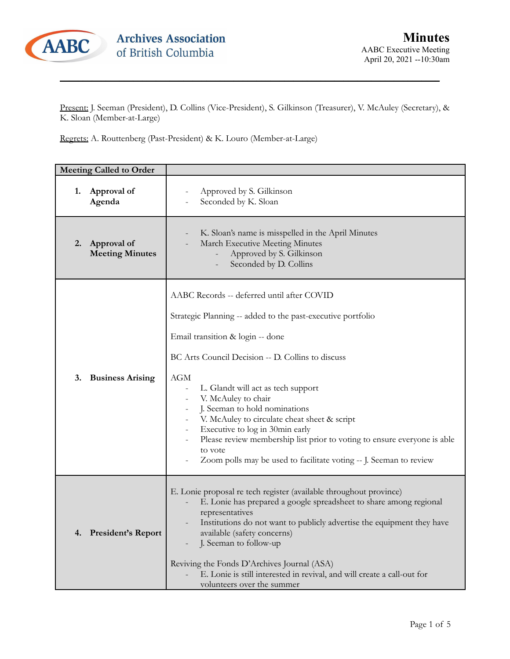

Present: J. Seeman (President), D. Collins (Vice-President), S. Gilkinson (Treasurer), V. McAuley (Secretary), & K. Sloan (Member-at-Large)

\_\_\_\_\_\_\_\_\_\_\_\_\_\_\_\_\_\_\_\_\_\_\_\_\_\_\_\_\_\_\_\_\_\_\_\_\_\_\_\_\_\_\_\_\_\_\_\_\_\_\_\_\_\_\_\_\_\_\_\_\_\_\_\_\_\_\_\_\_\_\_\_\_\_\_\_\_\_\_\_\_\_\_

Regrets: A. Routtenberg (Past-President) & K. Louro (Member-at-Large)

| <b>Meeting Called to Order</b>              |                                                                                                                                                                                                                                                                                                                                                                                                                                                                                                                                                                                     |
|---------------------------------------------|-------------------------------------------------------------------------------------------------------------------------------------------------------------------------------------------------------------------------------------------------------------------------------------------------------------------------------------------------------------------------------------------------------------------------------------------------------------------------------------------------------------------------------------------------------------------------------------|
| Approval of<br>1.<br>Agenda                 | Approved by S. Gilkinson<br>Seconded by K. Sloan                                                                                                                                                                                                                                                                                                                                                                                                                                                                                                                                    |
| Approval of<br>2.<br><b>Meeting Minutes</b> | K. Sloan's name is misspelled in the April Minutes<br>March Executive Meeting Minutes<br>Approved by S. Gilkinson<br>Seconded by D. Collins                                                                                                                                                                                                                                                                                                                                                                                                                                         |
| 3.<br><b>Business Arising</b>               | AABC Records -- deferred until after COVID<br>Strategic Planning -- added to the past-executive portfolio<br>Email transition & login -- done<br>BC Arts Council Decision -- D. Collins to discuss<br>AGM<br>L. Glandt will act as tech support<br>V. McAuley to chair<br>$\overline{\phantom{0}}$<br>J. Seeman to hold nominations<br>V. McAuley to circulate cheat sheet & script<br>Executive to log in 30min early<br>Please review membership list prior to voting to ensure everyone is able<br>to vote<br>Zoom polls may be used to facilitate voting -- J. Seeman to review |
| <b>President's Report</b><br>4.             | E. Lonie proposal re tech register (available throughout province)<br>E. Lonie has prepared a google spreadsheet to share among regional<br>representatives<br>Institutions do not want to publicly advertise the equipment they have<br>available (safety concerns)<br>J. Seeman to follow-up<br>Reviving the Fonds D'Archives Journal (ASA)<br>E. Lonie is still interested in revival, and will create a call-out for<br>volunteers over the summer                                                                                                                              |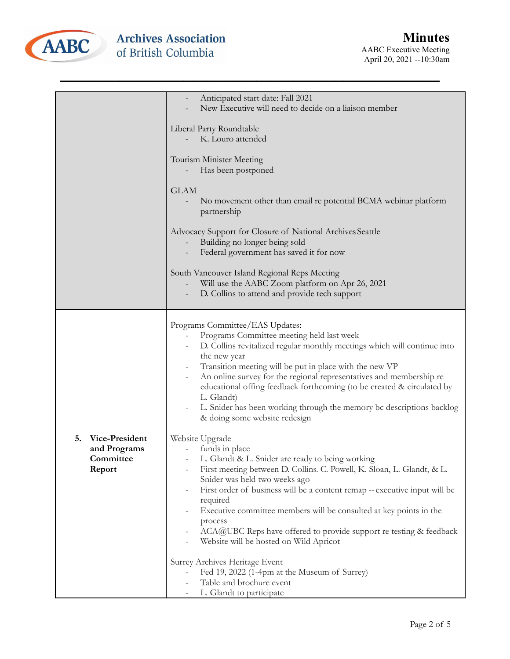

|                                                             | Anticipated start date: Fall 2021<br>New Executive will need to decide on a liaison member                                                                                                                                                                                                                                                                                                                                                                                                                   |
|-------------------------------------------------------------|--------------------------------------------------------------------------------------------------------------------------------------------------------------------------------------------------------------------------------------------------------------------------------------------------------------------------------------------------------------------------------------------------------------------------------------------------------------------------------------------------------------|
|                                                             | Liberal Party Roundtable                                                                                                                                                                                                                                                                                                                                                                                                                                                                                     |
|                                                             | K. Louro attended                                                                                                                                                                                                                                                                                                                                                                                                                                                                                            |
|                                                             | Tourism Minister Meeting<br>Has been postponed                                                                                                                                                                                                                                                                                                                                                                                                                                                               |
|                                                             | <b>GLAM</b><br>No movement other than email re potential BCMA webinar platform<br>partnership                                                                                                                                                                                                                                                                                                                                                                                                                |
|                                                             | Advocacy Support for Closure of National Archives Seattle<br>Building no longer being sold<br>Federal government has saved it for now                                                                                                                                                                                                                                                                                                                                                                        |
|                                                             | South Vancouver Island Regional Reps Meeting<br>Will use the AABC Zoom platform on Apr 26, 2021<br>D. Collins to attend and provide tech support                                                                                                                                                                                                                                                                                                                                                             |
|                                                             | Programs Committee/EAS Updates:<br>Programs Committee meeting held last week<br>D. Collins revitalized regular monthly meetings which will continue into<br>the new year<br>Transition meeting will be put in place with the new VP<br>An online survey for the regional representatives and membership re<br>educational offing feedback forthcoming (to be created & circulated by<br>L. Glandt)<br>L. Snider has been working through the memory bc descriptions backlog<br>& doing some website redesign |
| 5.<br>Vice-President<br>and Programs<br>Committee<br>Report | Website Upgrade<br>funds in place<br>L. Glandt & L. Snider are ready to being working<br>First meeting between D. Collins. C. Powell, K. Sloan, L. Glandt, & L.<br>Snider was held two weeks ago<br>First order of business will be a content remap -- executive input will be<br>required<br>Executive committee members will be consulted at key points in the<br>process<br>ACA@UBC Reps have offered to provide support re testing & feedback<br>Website will be hosted on Wild Apricot                  |
|                                                             | Surrey Archives Heritage Event<br>Fed 19, 2022 (1-4pm at the Museum of Surrey)<br>Table and brochure event<br>L. Glandt to participate                                                                                                                                                                                                                                                                                                                                                                       |

\_\_\_\_\_\_\_\_\_\_\_\_\_\_\_\_\_\_\_\_\_\_\_\_\_\_\_\_\_\_\_\_\_\_\_\_\_\_\_\_\_\_\_\_\_\_\_\_\_\_\_\_\_\_\_\_\_\_\_\_\_\_\_\_\_\_\_\_\_\_\_\_\_\_\_\_\_\_\_\_\_\_\_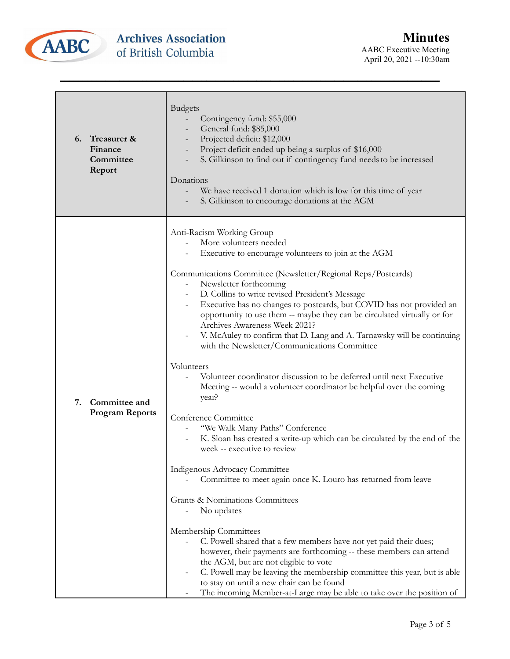

| 6.<br>Finance<br>Committee<br>Report | Treasurer &                             | <b>Budgets</b><br>Contingency fund: \$55,000<br>General fund: \$85,000<br>Projected deficit: \$12,000<br>Project deficit ended up being a surplus of \$16,000<br>S. Gilkinson to find out if contingency fund needs to be increased<br>Donations<br>We have received 1 donation which is low for this time of year<br>S. Gilkinson to encourage donations at the AGM                                                                                                                                                                                                                                                                                                                                                                                                                                                                                                                                                                                                                                                                                                                                                                                                                                                                                                                                                                                                                                                                                                                                |
|--------------------------------------|-----------------------------------------|-----------------------------------------------------------------------------------------------------------------------------------------------------------------------------------------------------------------------------------------------------------------------------------------------------------------------------------------------------------------------------------------------------------------------------------------------------------------------------------------------------------------------------------------------------------------------------------------------------------------------------------------------------------------------------------------------------------------------------------------------------------------------------------------------------------------------------------------------------------------------------------------------------------------------------------------------------------------------------------------------------------------------------------------------------------------------------------------------------------------------------------------------------------------------------------------------------------------------------------------------------------------------------------------------------------------------------------------------------------------------------------------------------------------------------------------------------------------------------------------------------|
| 7.                                   | Committee and<br><b>Program Reports</b> | Anti-Racism Working Group<br>More volunteers needed<br>Executive to encourage volunteers to join at the AGM<br>Communications Committee (Newsletter/Regional Reps/Postcards)<br>Newsletter forthcoming<br>D. Collins to write revised President's Message<br>Executive has no changes to postcards, but COVID has not provided an<br>opportunity to use them -- maybe they can be circulated virtually or for<br>Archives Awareness Week 2021?<br>V. McAuley to confirm that D. Lang and A. Tarnawsky will be continuing<br>with the Newsletter/Communications Committee<br>Volunteers<br>Volunteer coordinator discussion to be deferred until next Executive<br>Meeting -- would a volunteer coordinator be helpful over the coming<br>year?<br>Conference Committee<br>"We Walk Many Paths" Conference<br>K. Sloan has created a write-up which can be circulated by the end of the<br>week -- executive to review<br>Indigenous Advocacy Committee<br>Committee to meet again once K. Louro has returned from leave<br><b>Grants &amp; Nominations Committees</b><br>No updates<br>Membership Committees<br>C. Powell shared that a few members have not yet paid their dues;<br>however, their payments are forthcoming -- these members can attend<br>the AGM, but are not eligible to vote<br>C. Powell may be leaving the membership committee this year, but is able<br>to stay on until a new chair can be found<br>The incoming Member-at-Large may be able to take over the position of |

\_\_\_\_\_\_\_\_\_\_\_\_\_\_\_\_\_\_\_\_\_\_\_\_\_\_\_\_\_\_\_\_\_\_\_\_\_\_\_\_\_\_\_\_\_\_\_\_\_\_\_\_\_\_\_\_\_\_\_\_\_\_\_\_\_\_\_\_\_\_\_\_\_\_\_\_\_\_\_\_\_\_\_